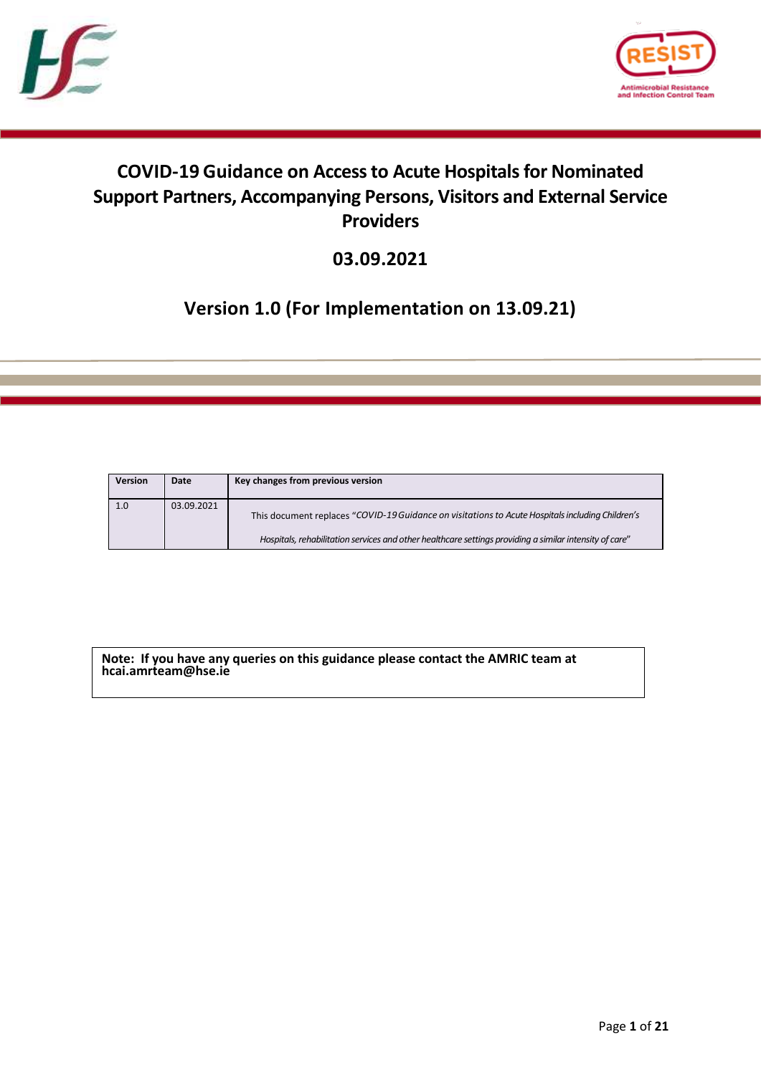



# **COVID-19 Guidance on Access to Acute Hospitalsfor Nominated Support Partners, Accompanying Persons, Visitors and External Service Providers**

**03.09.2021**

# **Version 1.0 (For Implementation on 13.09.21)**

| <b>Version</b> | Date       | Key changes from previous version                                                                       |
|----------------|------------|---------------------------------------------------------------------------------------------------------|
| 1.0            | 03.09.2021 | This document replaces "COVID-19 Guidance on visitations to Acute Hospitals including Children's        |
|                |            | Hospitals, rehabilitation services and other healthcare settings providing a similar intensity of care" |

**Note: If you have any queries on this guidance please contact the AMRIC team at hcai.amrteam@hse.ie**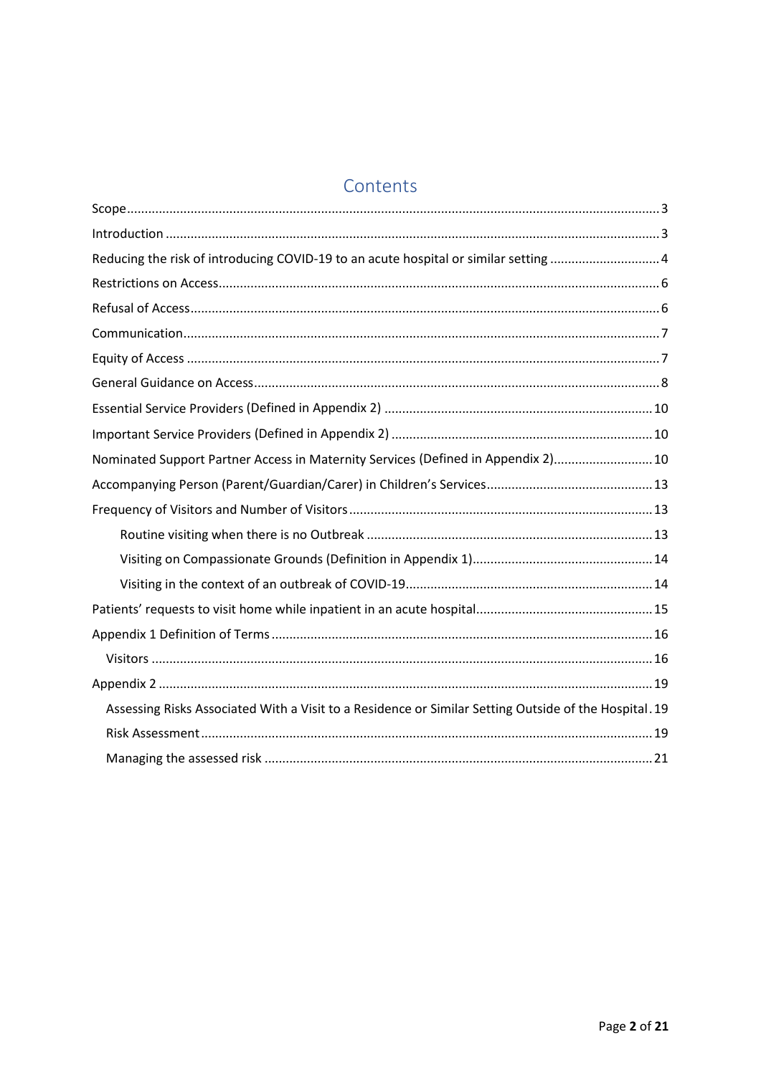# Contents

| Reducing the risk of introducing COVID-19 to an acute hospital or similar setting  4                  |  |  |  |  |
|-------------------------------------------------------------------------------------------------------|--|--|--|--|
|                                                                                                       |  |  |  |  |
|                                                                                                       |  |  |  |  |
|                                                                                                       |  |  |  |  |
|                                                                                                       |  |  |  |  |
|                                                                                                       |  |  |  |  |
|                                                                                                       |  |  |  |  |
|                                                                                                       |  |  |  |  |
| Nominated Support Partner Access in Maternity Services (Defined in Appendix 2) 10                     |  |  |  |  |
|                                                                                                       |  |  |  |  |
|                                                                                                       |  |  |  |  |
|                                                                                                       |  |  |  |  |
|                                                                                                       |  |  |  |  |
|                                                                                                       |  |  |  |  |
|                                                                                                       |  |  |  |  |
|                                                                                                       |  |  |  |  |
|                                                                                                       |  |  |  |  |
|                                                                                                       |  |  |  |  |
| Assessing Risks Associated With a Visit to a Residence or Similar Setting Outside of the Hospital. 19 |  |  |  |  |
|                                                                                                       |  |  |  |  |
|                                                                                                       |  |  |  |  |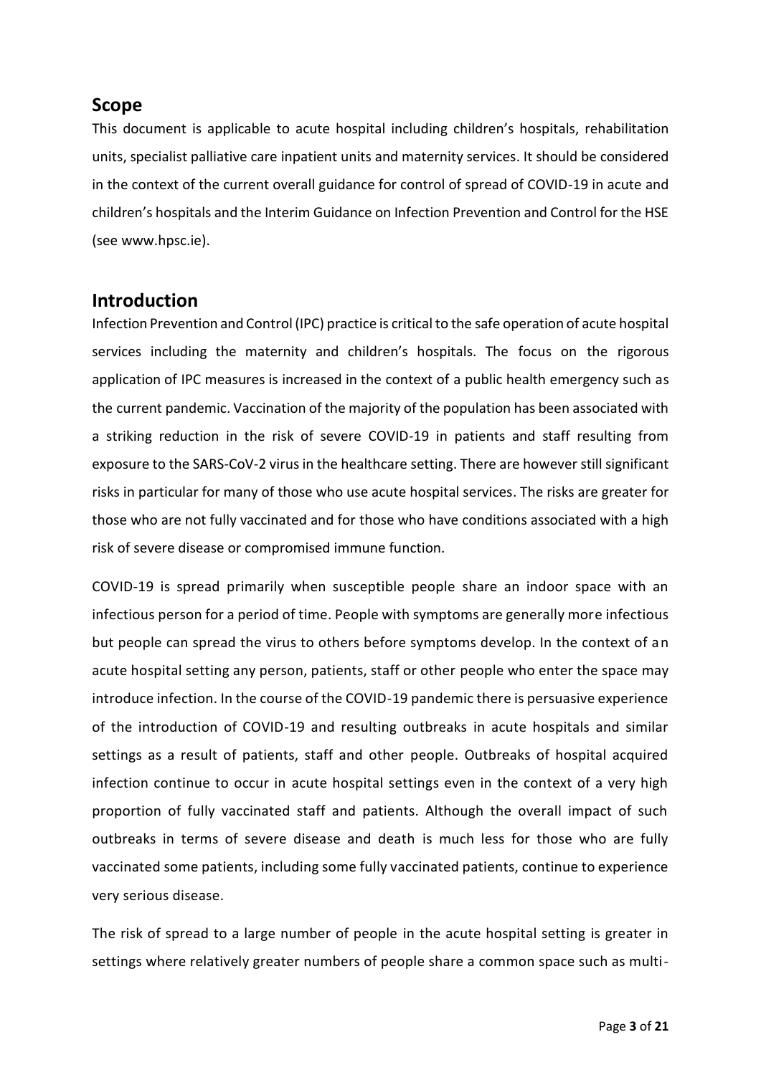### <span id="page-2-0"></span>**Scope**

This document is applicable to acute hospital including children's hospitals, rehabilitation units, specialist palliative care inpatient units and maternity services. It should be considered in the context of the current overall guidance for control of spread of COVID-19 in acute and children's hospitals and the Interim Guidance on Infection Prevention and Control for the HSE (see www.hpsc.ie).

## <span id="page-2-1"></span>**Introduction**

Infection Prevention and Control (IPC) practice is critical to the safe operation of acute hospital services including the maternity and children's hospitals. The focus on the rigorous application of IPC measures is increased in the context of a public health emergency such as the current pandemic. Vaccination of the majority of the population has been associated with a striking reduction in the risk of severe COVID-19 in patients and staff resulting from exposure to the SARS-CoV-2 virus in the healthcare setting. There are however still significant risks in particular for many of those who use acute hospital services. The risks are greater for those who are not fully vaccinated and for those who have conditions associated with a high risk of severe disease or compromised immune function.

COVID-19 is spread primarily when susceptible people share an indoor space with an infectious person for a period of time. People with symptoms are generally more infectious but people can spread the virus to others before symptoms develop. In the context of an acute hospital setting any person, patients, staff or other people who enter the space may introduce infection. In the course of the COVID-19 pandemic there is persuasive experience of the introduction of COVID-19 and resulting outbreaks in acute hospitals and similar settings as a result of patients, staff and other people. Outbreaks of hospital acquired infection continue to occur in acute hospital settings even in the context of a very high proportion of fully vaccinated staff and patients. Although the overall impact of such outbreaks in terms of severe disease and death is much less for those who are fully vaccinated some patients, including some fully vaccinated patients, continue to experience very serious disease.

The risk of spread to a large number of people in the acute hospital setting is greater in settings where relatively greater numbers of people share a common space such as multi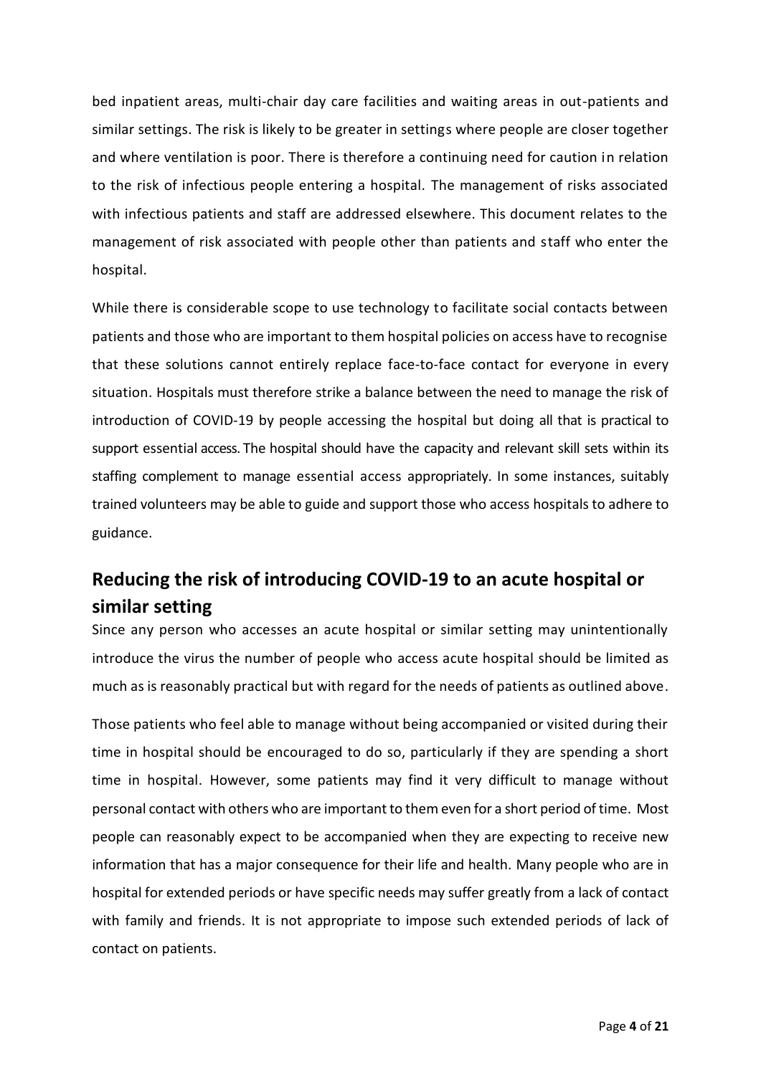bed inpatient areas, multi-chair day care facilities and waiting areas in out-patients and similar settings. The risk is likely to be greater in settings where people are closer together and where ventilation is poor. There is therefore a continuing need for caution in relation to the risk of infectious people entering a hospital. The management of risks associated with infectious patients and staff are addressed elsewhere. This document relates to the management of risk associated with people other than patients and staff who enter the hospital.

While there is considerable scope to use technology to facilitate social contacts between patients and those who are important to them hospital policies on access have to recognise that these solutions cannot entirely replace face-to-face contact for everyone in every situation. Hospitals must therefore strike a balance between the need to manage the risk of introduction of COVID-19 by people accessing the hospital but doing all that is practical to support essential access. The hospital should have the capacity and relevant skill sets within its staffing complement to manage essential access appropriately. In some instances, suitably trained volunteers may be able to guide and support those who access hospitals to adhere to guidance.

# <span id="page-3-0"></span>**Reducing the risk of introducing COVID-19 to an acute hospital or similar setting**

Since any person who accesses an acute hospital or similar setting may unintentionally introduce the virus the number of people who access acute hospital should be limited as much as is reasonably practical but with regard for the needs of patients as outlined above.

Those patients who feel able to manage without being accompanied or visited during their time in hospital should be encouraged to do so, particularly if they are spending a short time in hospital. However, some patients may find it very difficult to manage without personal contact with others who are important to them even for a short period of time. Most people can reasonably expect to be accompanied when they are expecting to receive new information that has a major consequence for their life and health. Many people who are in hospital for extended periods or have specific needs may suffer greatly from a lack of contact with family and friends. It is not appropriate to impose such extended periods of lack of contact on patients.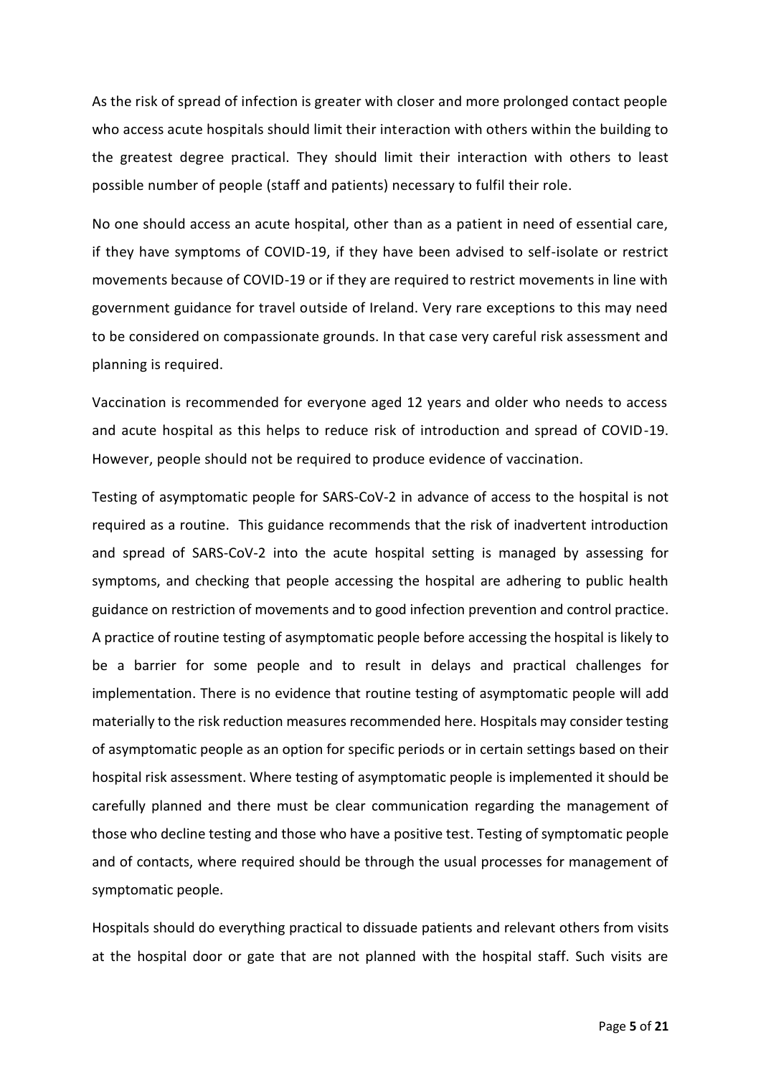As the risk of spread of infection is greater with closer and more prolonged contact people who access acute hospitals should limit their interaction with others within the building to the greatest degree practical. They should limit their interaction with others to least possible number of people (staff and patients) necessary to fulfil their role.

No one should access an acute hospital, other than as a patient in need of essential care, if they have symptoms of COVID-19, if they have been advised to self-isolate or restrict movements because of COVID-19 or if they are required to restrict movements in line with government guidance for travel outside of Ireland. Very rare exceptions to this may need to be considered on compassionate grounds. In that case very careful risk assessment and planning is required.

Vaccination is recommended for everyone aged 12 years and older who needs to access and acute hospital as this helps to reduce risk of introduction and spread of COVID-19. However, people should not be required to produce evidence of vaccination.

Testing of asymptomatic people for SARS-CoV-2 in advance of access to the hospital is not required as a routine. This guidance recommends that the risk of inadvertent introduction and spread of SARS-CoV-2 into the acute hospital setting is managed by assessing for symptoms, and checking that people accessing the hospital are adhering to public health guidance on restriction of movements and to good infection prevention and control practice. A practice of routine testing of asymptomatic people before accessing the hospital is likely to be a barrier for some people and to result in delays and practical challenges for implementation. There is no evidence that routine testing of asymptomatic people will add materially to the risk reduction measures recommended here. Hospitals may consider testing of asymptomatic people as an option for specific periods or in certain settings based on their hospital risk assessment. Where testing of asymptomatic people is implemented it should be carefully planned and there must be clear communication regarding the management of those who decline testing and those who have a positive test. Testing of symptomatic people and of contacts, where required should be through the usual processes for management of symptomatic people.

Hospitals should do everything practical to dissuade patients and relevant others from visits at the hospital door or gate that are not planned with the hospital staff. Such visits are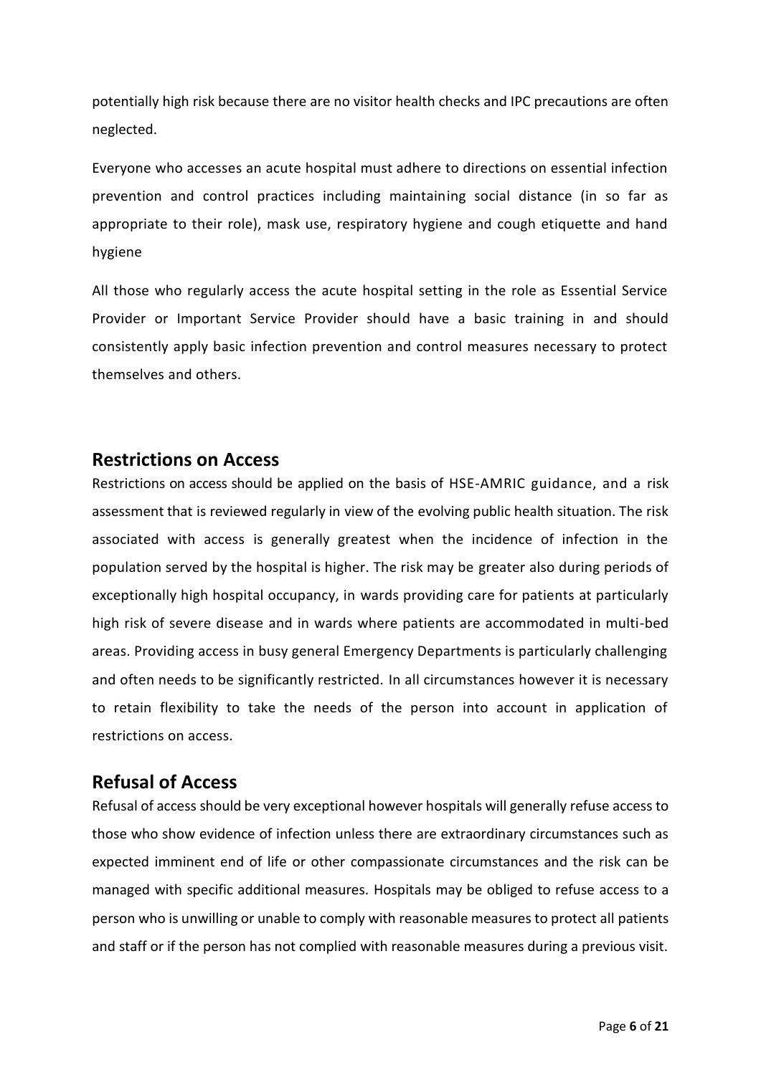potentially high risk because there are no visitor health checks and IPC precautions are often neglected.

Everyone who accesses an acute hospital must adhere to directions on essential infection prevention and control practices including maintaining social distance (in so far as appropriate to their role), mask use, respiratory hygiene and cough etiquette and hand hygiene

All those who regularly access the acute hospital setting in the role as Essential Service Provider or Important Service Provider should have a basic training in and should consistently apply basic infection prevention and control measures necessary to protect themselves and others.

### <span id="page-5-0"></span>**Restrictions on Access**

Restrictions on access should be applied on the basis of HSE-AMRIC guidance, and a risk assessment that is reviewed regularly in view of the evolving public health situation. The risk associated with access is generally greatest when the incidence of infection in the population served by the hospital is higher. The risk may be greater also during periods of exceptionally high hospital occupancy, in wards providing care for patients at particularly high risk of severe disease and in wards where patients are accommodated in multi-bed areas. Providing access in busy general Emergency Departments is particularly challenging and often needs to be significantly restricted. In all circumstances however it is necessary to retain flexibility to take the needs of the person into account in application of restrictions on access.

### <span id="page-5-1"></span>**Refusal of Access**

Refusal of access should be very exceptional however hospitals will generally refuse access to those who show evidence of infection unless there are extraordinary circumstances such as expected imminent end of life or other compassionate circumstances and the risk can be managed with specific additional measures. Hospitals may be obliged to refuse access to a person who is unwilling or unable to comply with reasonable measures to protect all patients and staff or if the person has not complied with reasonable measures during a previous visit.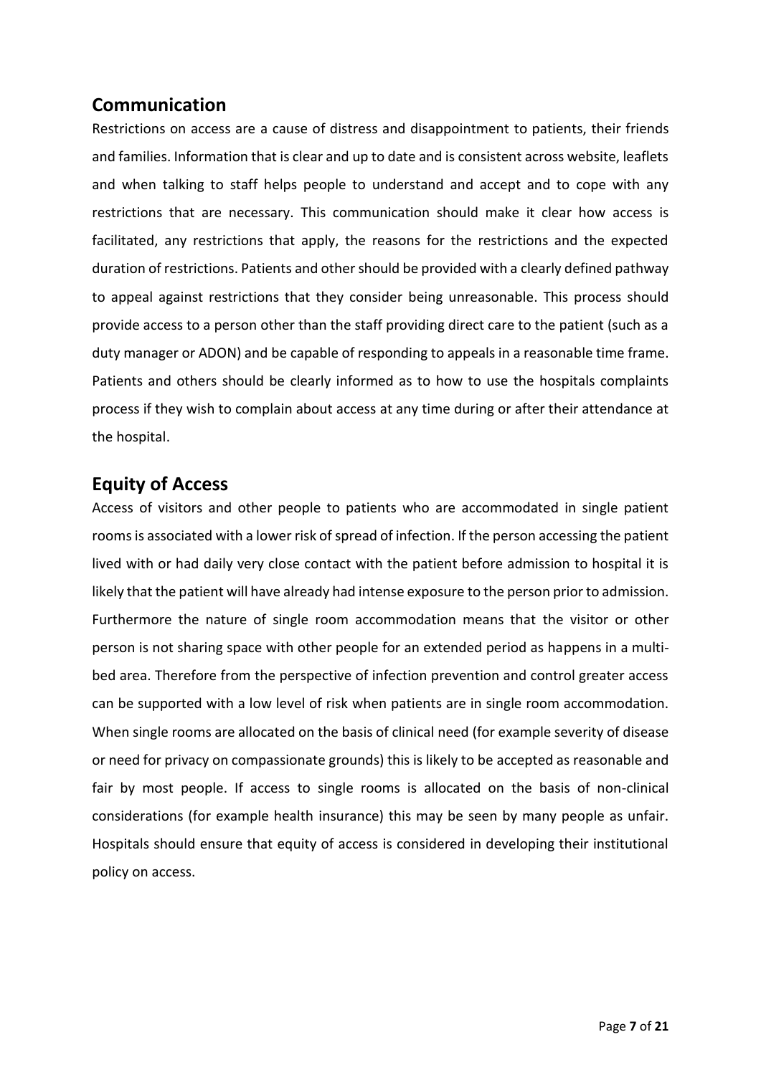## <span id="page-6-0"></span>**Communication**

Restrictions on access are a cause of distress and disappointment to patients, their friends and families. Information that is clear and up to date and is consistent across website, leaflets and when talking to staff helps people to understand and accept and to cope with any restrictions that are necessary. This communication should make it clear how access is facilitated, any restrictions that apply, the reasons for the restrictions and the expected duration of restrictions. Patients and other should be provided with a clearly defined pathway to appeal against restrictions that they consider being unreasonable. This process should provide access to a person other than the staff providing direct care to the patient (such as a duty manager or ADON) and be capable of responding to appeals in a reasonable time frame. Patients and others should be clearly informed as to how to use the hospitals complaints process if they wish to complain about access at any time during or after their attendance at the hospital.

## <span id="page-6-1"></span>**Equity of Access**

Access of visitors and other people to patients who are accommodated in single patient rooms is associated with a lower risk of spread of infection. If the person accessing the patient lived with or had daily very close contact with the patient before admission to hospital it is likely that the patient will have already had intense exposure to the person prior to admission. Furthermore the nature of single room accommodation means that the visitor or other person is not sharing space with other people for an extended period as happens in a multibed area. Therefore from the perspective of infection prevention and control greater access can be supported with a low level of risk when patients are in single room accommodation. When single rooms are allocated on the basis of clinical need (for example severity of disease or need for privacy on compassionate grounds) this is likely to be accepted as reasonable and fair by most people. If access to single rooms is allocated on the basis of non-clinical considerations (for example health insurance) this may be seen by many people as unfair. Hospitals should ensure that equity of access is considered in developing their institutional policy on access.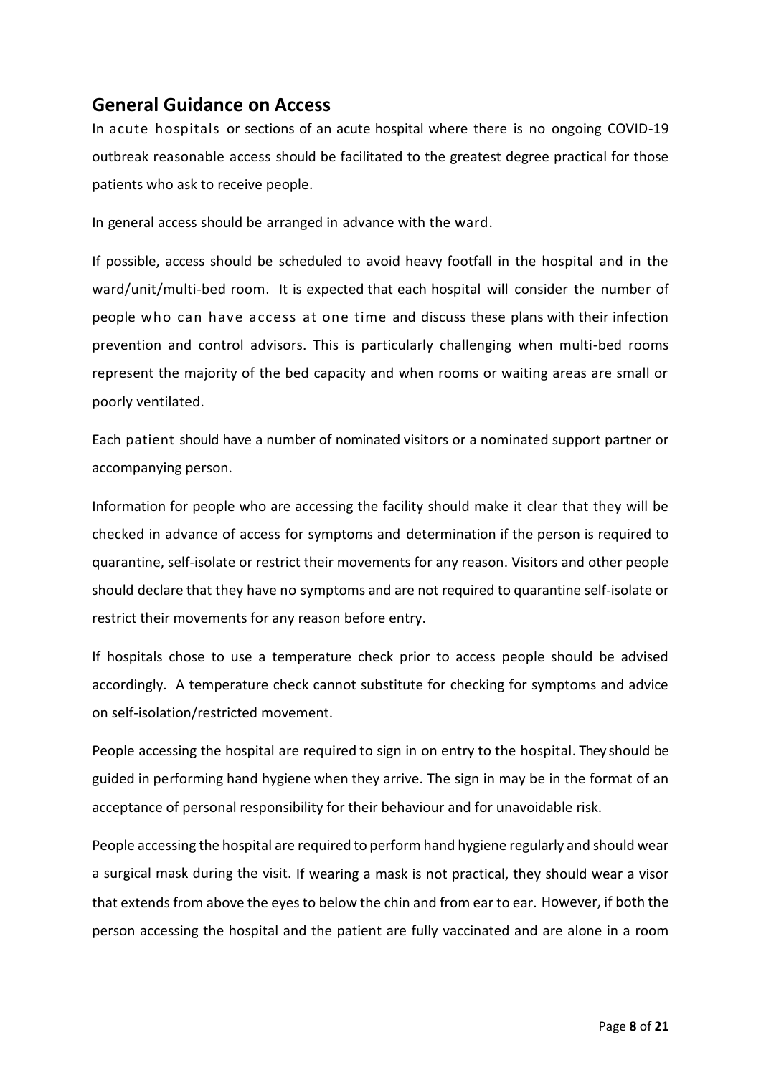## <span id="page-7-0"></span>**General Guidance on Access**

In acute hospitals or sections of an acute hospital where there is no ongoing COVID-19 outbreak reasonable access should be facilitated to the greatest degree practical for those patients who ask to receive people.

In general access should be arranged in advance with the ward.

If possible, access should be scheduled to avoid heavy footfall in the hospital and in the ward/unit/multi-bed room. It is expected that each hospital will consider the number of people who can have access at one time and discuss these plans with their infection prevention and control advisors. This is particularly challenging when multi-bed rooms represent the majority of the bed capacity and when rooms or waiting areas are small or poorly ventilated.

Each patient should have a number of nominated visitors or a nominated support partner or accompanying person.

Information for people who are accessing the facility should make it clear that they will be checked in advance of access for symptoms and determination if the person is required to quarantine, self-isolate or restrict their movements for any reason. Visitors and other people should declare that they have no symptoms and are not required to quarantine self-isolate or restrict their movements for any reason before entry.

If hospitals chose to use a temperature check prior to access people should be advised accordingly. A temperature check cannot substitute for checking for symptoms and advice on self-isolation/restricted movement.

People accessing the hospital are required to sign in on entry to the hospital. They should be guided in performing hand hygiene when they arrive. The sign in may be in the format of an acceptance of personal responsibility for their behaviour and for unavoidable risk.

People accessing the hospital are required to perform hand hygiene regularly and should wear a surgical mask during the visit. If wearing a mask is not practical, they should wear a visor that extends from above the eyes to below the chin and from ear to ear. However, if both the person accessing the hospital and the patient are fully vaccinated and are alone in a room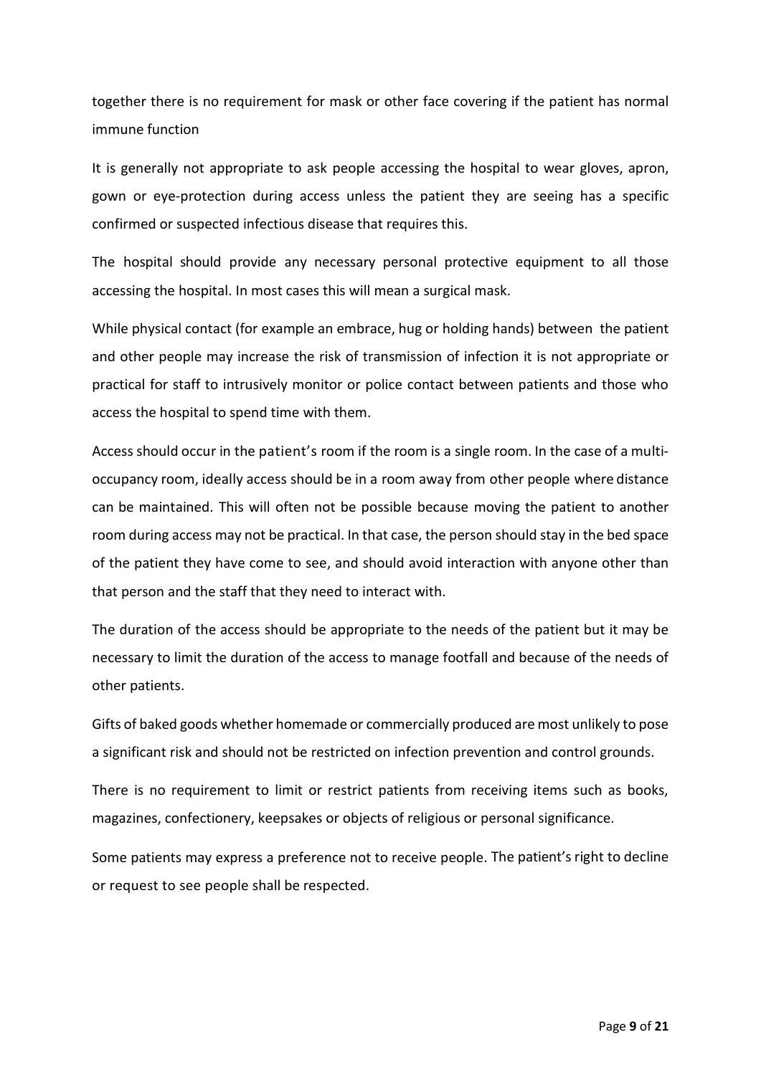together there is no requirement for mask or other face covering if the patient has normal immune function

It is generally not appropriate to ask people accessing the hospital to wear gloves, apron, gown or eye-protection during access unless the patient they are seeing has a specific confirmed or suspected infectious disease that requires this.

The hospital should provide any necessary personal protective equipment to all those accessing the hospital. In most cases this will mean a surgical mask.

While physical contact (for example an embrace, hug or holding hands) between the patient and other people may increase the risk of transmission of infection it is not appropriate or practical for staff to intrusively monitor or police contact between patients and those who access the hospital to spend time with them.

Access should occur in the patient's room if the room is a single room. In the case of a multioccupancy room, ideally access should be in a room away from other people where distance can be maintained. This will often not be possible because moving the patient to another room during access may not be practical. In that case, the person should stay in the bed space of the patient they have come to see, and should avoid interaction with anyone other than that person and the staff that they need to interact with.

The duration of the access should be appropriate to the needs of the patient but it may be necessary to limit the duration of the access to manage footfall and because of the needs of other patients.

Gifts of baked goods whether homemade or commercially produced are most unlikely to pose a significant risk and should not be restricted on infection prevention and control grounds.

There is no requirement to limit or restrict patients from receiving items such as books, magazines, confectionery, keepsakes or objects of religious or personal significance.

Some patients may express a preference not to receive people. The patient's right to decline or request to see people shall be respected.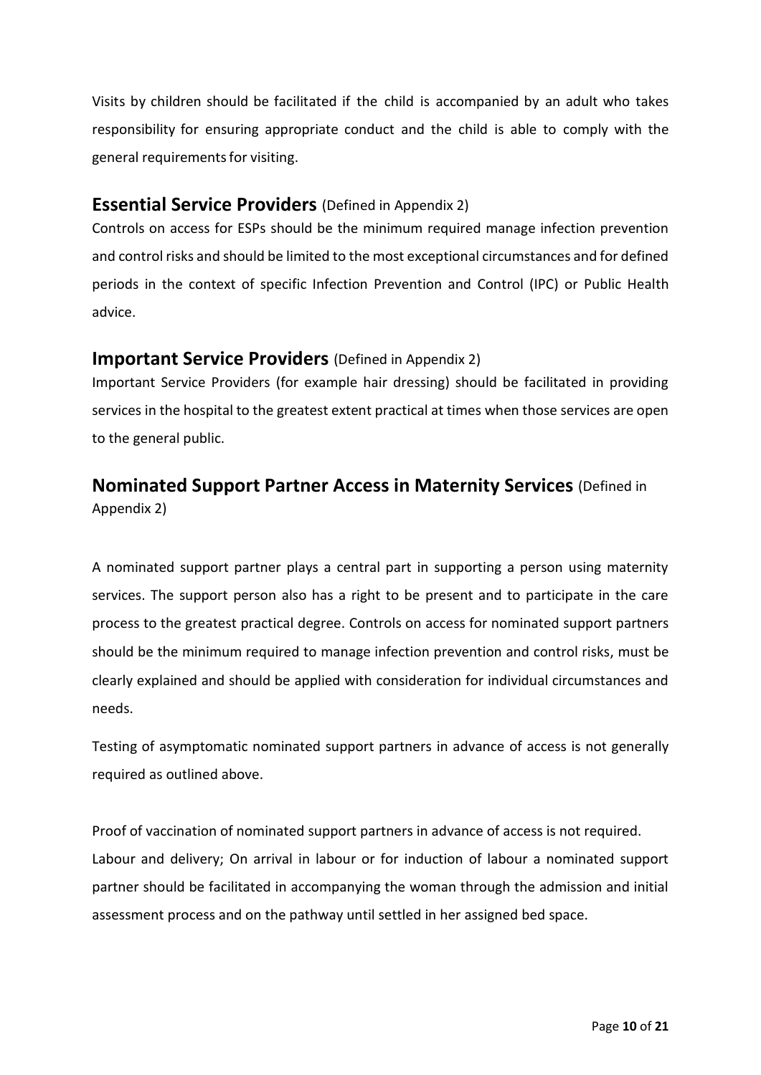Visits by children should be facilitated if the child is accompanied by an adult who takes responsibility for ensuring appropriate conduct and the child is able to comply with the general requirementsfor visiting.

### <span id="page-9-0"></span>**Essential Service Providers** (Defined in Appendix 2)

Controls on access for ESPs should be the minimum required manage infection prevention and control risks and should be limited to the most exceptional circumstances and for defined periods in the context of specific Infection Prevention and Control (IPC) or Public Health advice.

### <span id="page-9-1"></span>**Important Service Providers** (Defined in Appendix 2)

Important Service Providers (for example hair dressing) should be facilitated in providing services in the hospital to the greatest extent practical at times when those services are open to the general public.

# <span id="page-9-2"></span>**Nominated Support Partner Access in Maternity Services** (Defined in

Appendix 2)

A nominated support partner plays a central part in supporting a person using maternity services. The support person also has a right to be present and to participate in the care process to the greatest practical degree. Controls on access for nominated support partners should be the minimum required to manage infection prevention and control risks, must be clearly explained and should be applied with consideration for individual circumstances and needs.

Testing of asymptomatic nominated support partners in advance of access is not generally required as outlined above.

Proof of vaccination of nominated support partners in advance of access is not required. Labour and delivery; On arrival in labour or for induction of labour a nominated support partner should be facilitated in accompanying the woman through the admission and initial assessment process and on the pathway until settled in her assigned bed space.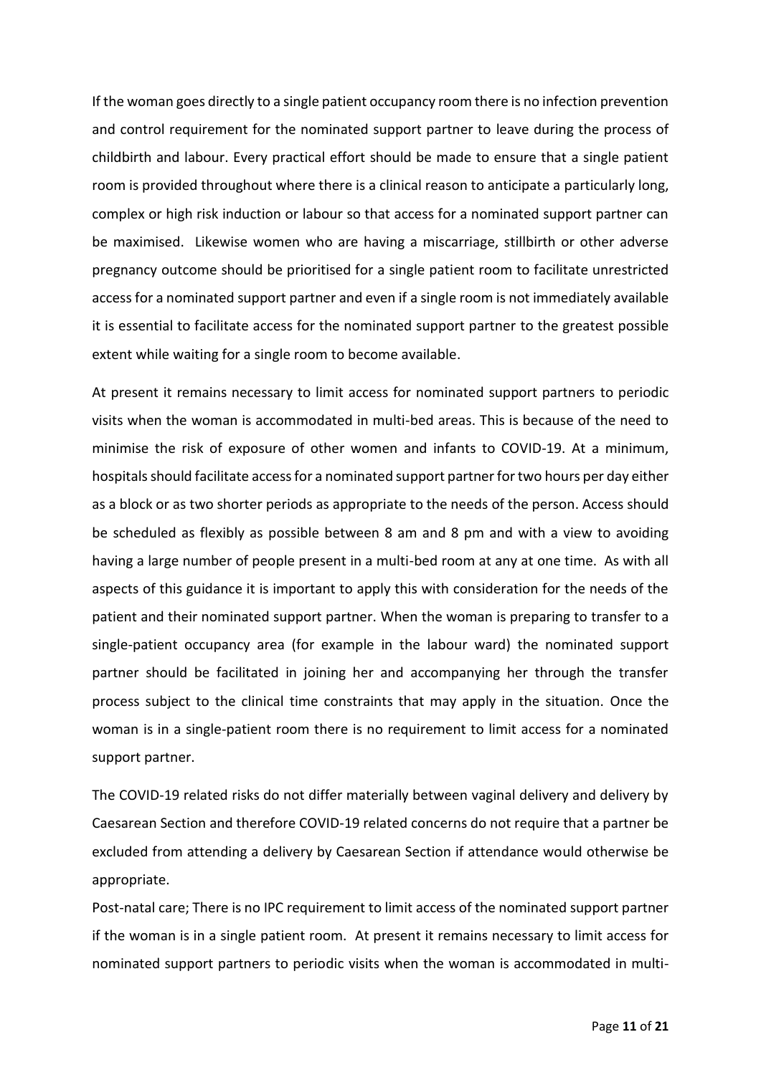If the woman goes directly to a single patient occupancy room there is no infection prevention and control requirement for the nominated support partner to leave during the process of childbirth and labour. Every practical effort should be made to ensure that a single patient room is provided throughout where there is a clinical reason to anticipate a particularly long, complex or high risk induction or labour so that access for a nominated support partner can be maximised. Likewise women who are having a miscarriage, stillbirth or other adverse pregnancy outcome should be prioritised for a single patient room to facilitate unrestricted access for a nominated support partner and even if a single room is not immediately available it is essential to facilitate access for the nominated support partner to the greatest possible extent while waiting for a single room to become available.

At present it remains necessary to limit access for nominated support partners to periodic visits when the woman is accommodated in multi-bed areas. This is because of the need to minimise the risk of exposure of other women and infants to COVID-19. At a minimum, hospitals should facilitate access for a nominated support partner for two hours per day either as a block or as two shorter periods as appropriate to the needs of the person. Access should be scheduled as flexibly as possible between 8 am and 8 pm and with a view to avoiding having a large number of people present in a multi-bed room at any at one time. As with all aspects of this guidance it is important to apply this with consideration for the needs of the patient and their nominated support partner. When the woman is preparing to transfer to a single-patient occupancy area (for example in the labour ward) the nominated support partner should be facilitated in joining her and accompanying her through the transfer process subject to the clinical time constraints that may apply in the situation. Once the woman is in a single-patient room there is no requirement to limit access for a nominated support partner.

The COVID-19 related risks do not differ materially between vaginal delivery and delivery by Caesarean Section and therefore COVID-19 related concerns do not require that a partner be excluded from attending a delivery by Caesarean Section if attendance would otherwise be appropriate.

Post-natal care; There is no IPC requirement to limit access of the nominated support partner if the woman is in a single patient room. At present it remains necessary to limit access for nominated support partners to periodic visits when the woman is accommodated in multi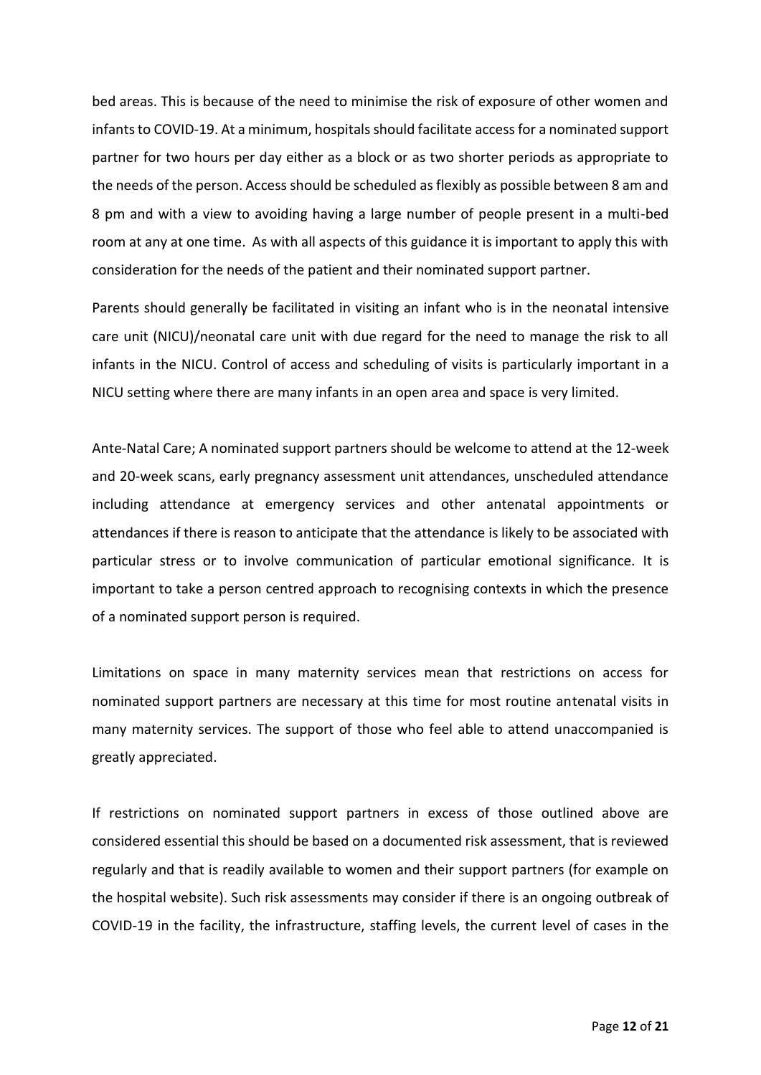bed areas. This is because of the need to minimise the risk of exposure of other women and infants to COVID-19. At a minimum, hospitals should facilitate access for a nominated support partner for two hours per day either as a block or as two shorter periods as appropriate to the needs of the person. Access should be scheduled as flexibly as possible between 8 am and 8 pm and with a view to avoiding having a large number of people present in a multi-bed room at any at one time. As with all aspects of this guidance it is important to apply this with consideration for the needs of the patient and their nominated support partner.

Parents should generally be facilitated in visiting an infant who is in the neonatal intensive care unit (NICU)/neonatal care unit with due regard for the need to manage the risk to all infants in the NICU. Control of access and scheduling of visits is particularly important in a NICU setting where there are many infants in an open area and space is very limited.

Ante-Natal Care; A nominated support partners should be welcome to attend at the 12-week and 20-week scans, early pregnancy assessment unit attendances, unscheduled attendance including attendance at emergency services and other antenatal appointments or attendances if there is reason to anticipate that the attendance is likely to be associated with particular stress or to involve communication of particular emotional significance. It is important to take a person centred approach to recognising contexts in which the presence of a nominated support person is required.

Limitations on space in many maternity services mean that restrictions on access for nominated support partners are necessary at this time for most routine antenatal visits in many maternity services. The support of those who feel able to attend unaccompanied is greatly appreciated.

If restrictions on nominated support partners in excess of those outlined above are considered essential this should be based on a documented risk assessment, that is reviewed regularly and that is readily available to women and their support partners (for example on the hospital website). Such risk assessments may consider if there is an ongoing outbreak of COVID-19 in the facility, the infrastructure, staffing levels, the current level of cases in the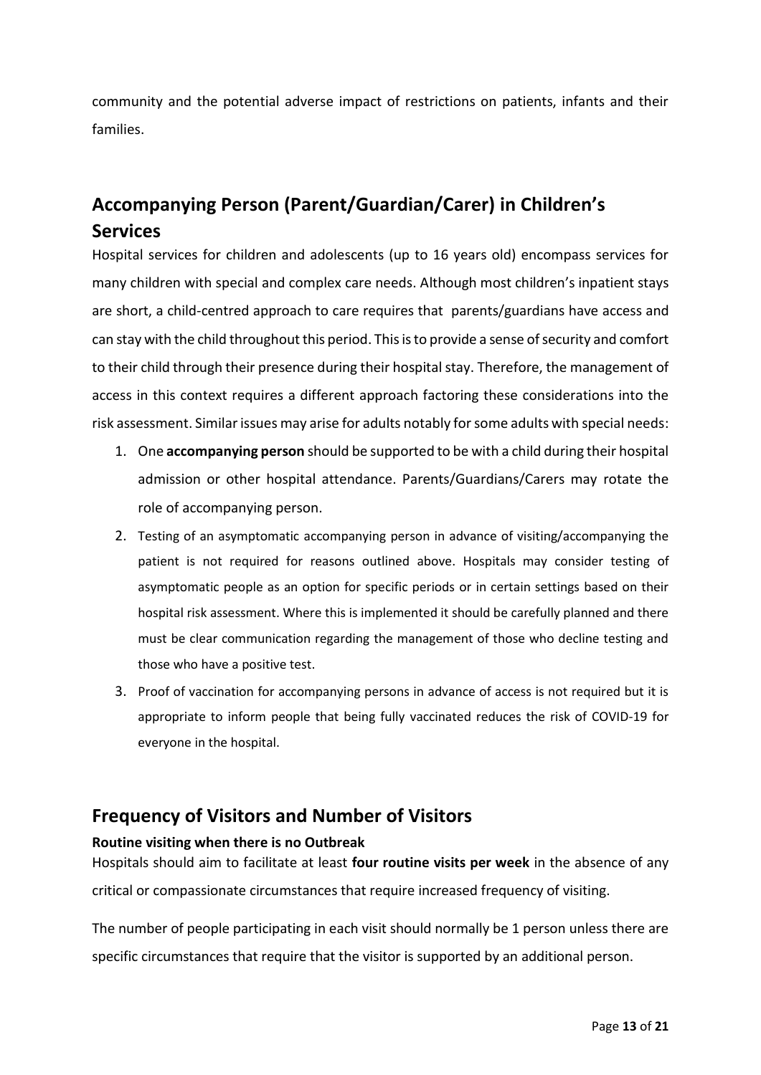community and the potential adverse impact of restrictions on patients, infants and their families.

# <span id="page-12-0"></span>**Accompanying Person (Parent/Guardian/Carer) in Children's Services**

Hospital services for children and adolescents (up to 16 years old) encompass services for many children with special and complex care needs. Although most children's inpatient stays are short, a child-centred approach to care requires that parents/guardians have access and can stay with the child throughout this period. This is to provide a sense of security and comfort to their child through their presence during their hospital stay. Therefore, the management of access in this context requires a different approach factoring these considerations into the risk assessment. Similar issues may arise for adults notably for some adults with special needs:

- 1. One **accompanying person** should be supported to be with a child during their hospital admission or other hospital attendance. Parents/Guardians/Carers may rotate the role of accompanying person.
- 2. Testing of an asymptomatic accompanying person in advance of visiting/accompanying the patient is not required for reasons outlined above. Hospitals may consider testing of asymptomatic people as an option for specific periods or in certain settings based on their hospital risk assessment. Where this is implemented it should be carefully planned and there must be clear communication regarding the management of those who decline testing and those who have a positive test.
- 3. Proof of vaccination for accompanying persons in advance of access is not required but it is appropriate to inform people that being fully vaccinated reduces the risk of COVID-19 for everyone in the hospital.

# <span id="page-12-1"></span>**Frequency of Visitors and Number of Visitors**

### <span id="page-12-2"></span>**Routine visiting when there is no Outbreak**

Hospitals should aim to facilitate at least **four routine visits per week** in the absence of any critical or compassionate circumstances that require increased frequency of visiting.

The number of people participating in each visit should normally be 1 person unless there are specific circumstances that require that the visitor is supported by an additional person.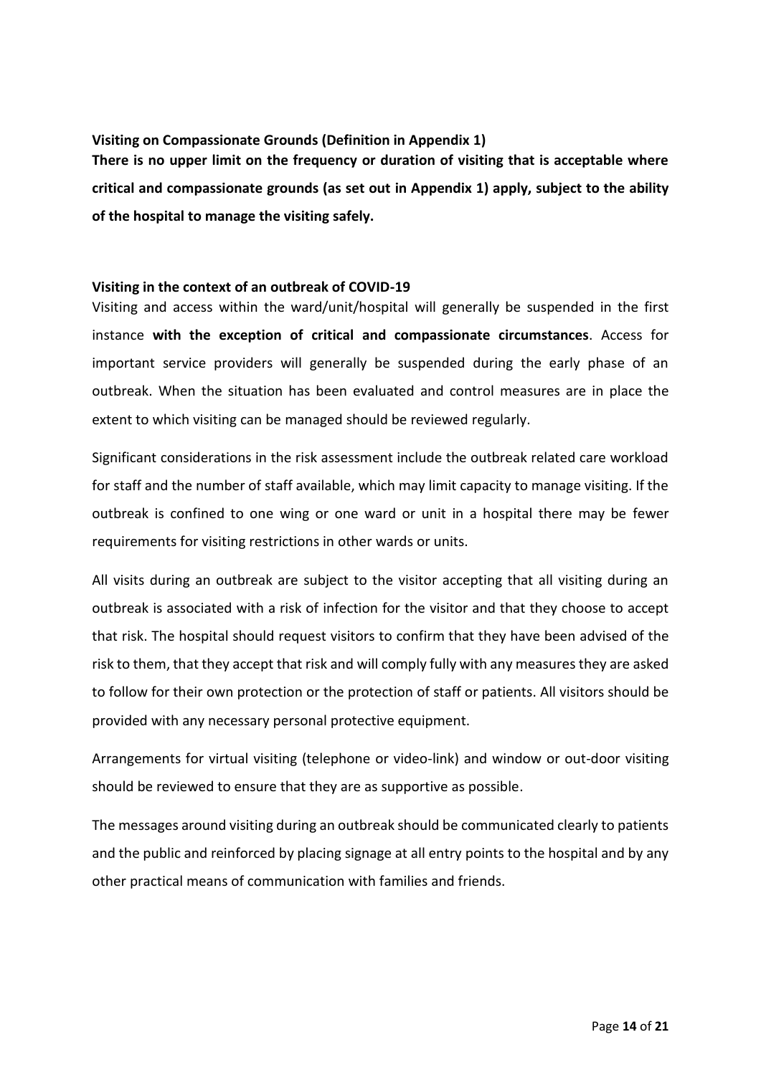### <span id="page-13-0"></span>**Visiting on Compassionate Grounds (Definition in Appendix 1)**

**There is no upper limit on the frequency or duration of visiting that is acceptable where critical and compassionate grounds (as set out in Appendix 1) apply, subject to the ability of the hospital to manage the visiting safely.** 

#### <span id="page-13-1"></span>**Visiting in the context of an outbreak of COVID-19**

Visiting and access within the ward/unit/hospital will generally be suspended in the first instance **with the exception of critical and compassionate circumstances**. Access for important service providers will generally be suspended during the early phase of an outbreak. When the situation has been evaluated and control measures are in place the extent to which visiting can be managed should be reviewed regularly.

Significant considerations in the risk assessment include the outbreak related care workload for staff and the number of staff available, which may limit capacity to manage visiting. If the outbreak is confined to one wing or one ward or unit in a hospital there may be fewer requirements for visiting restrictions in other wards or units.

All visits during an outbreak are subject to the visitor accepting that all visiting during an outbreak is associated with a risk of infection for the visitor and that they choose to accept that risk. The hospital should request visitors to confirm that they have been advised of the risk to them, that they accept that risk and will comply fully with any measuresthey are asked to follow for their own protection or the protection of staff or patients. All visitors should be provided with any necessary personal protective equipment.

Arrangements for virtual visiting (telephone or video-link) and window or out-door visiting should be reviewed to ensure that they are as supportive as possible.

The messages around visiting during an outbreak should be communicated clearly to patients and the public and reinforced by placing signage at all entry points to the hospital and by any other practical means of communication with families and friends.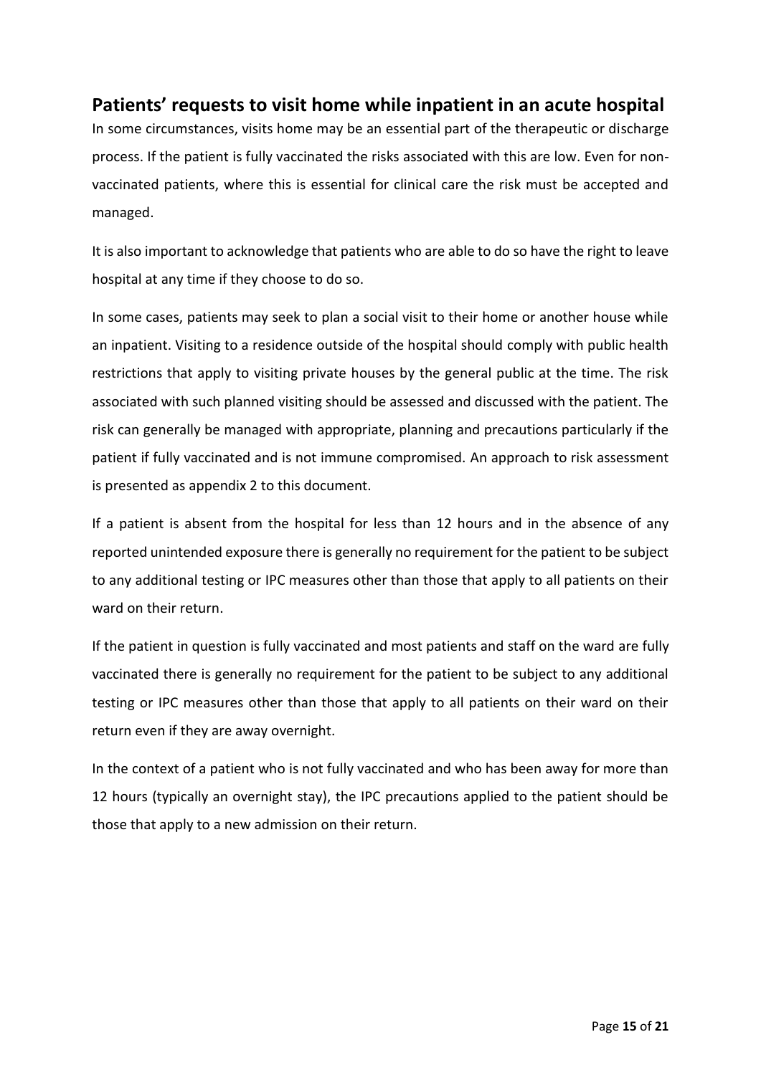# <span id="page-14-0"></span>**Patients' requests to visit home while inpatient in an acute hospital**

In some circumstances, visits home may be an essential part of the therapeutic or discharge process. If the patient is fully vaccinated the risks associated with this are low. Even for nonvaccinated patients, where this is essential for clinical care the risk must be accepted and managed.

It is also important to acknowledge that patients who are able to do so have the right to leave hospital at any time if they choose to do so.

In some cases, patients may seek to plan a social visit to their home or another house while an inpatient. Visiting to a residence outside of the hospital should comply with public health restrictions that apply to visiting private houses by the general public at the time. The risk associated with such planned visiting should be assessed and discussed with the patient. The risk can generally be managed with appropriate, planning and precautions particularly if the patient if fully vaccinated and is not immune compromised. An approach to risk assessment is presented as appendix 2 to this document.

If a patient is absent from the hospital for less than 12 hours and in the absence of any reported unintended exposure there is generally no requirement for the patient to be subject to any additional testing or IPC measures other than those that apply to all patients on their ward on their return.

If the patient in question is fully vaccinated and most patients and staff on the ward are fully vaccinated there is generally no requirement for the patient to be subject to any additional testing or IPC measures other than those that apply to all patients on their ward on their return even if they are away overnight.

In the context of a patient who is not fully vaccinated and who has been away for more than 12 hours (typically an overnight stay), the IPC precautions applied to the patient should be those that apply to a new admission on their return.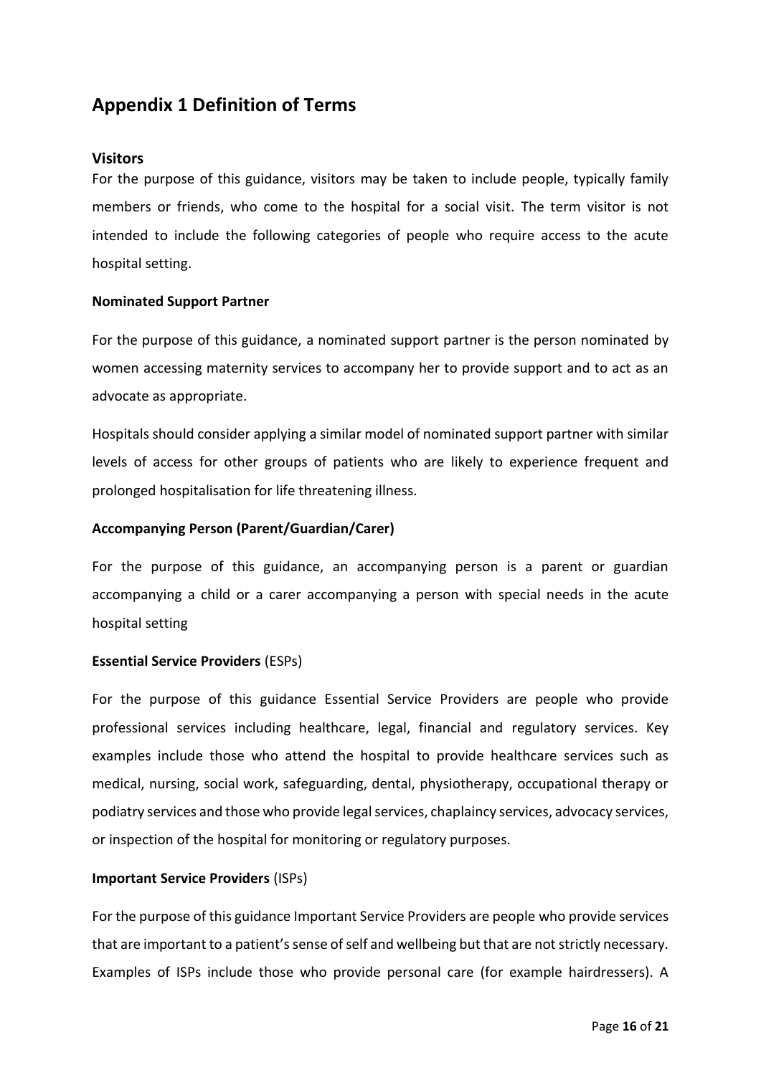## <span id="page-15-0"></span>**Appendix 1 Definition of Terms**

#### <span id="page-15-1"></span>**Visitors**

For the purpose of this guidance, visitors may be taken to include people, typically family members or friends, who come to the hospital for a social visit. The term visitor is not intended to include the following categories of people who require access to the acute hospital setting.

#### **Nominated Support Partner**

For the purpose of this guidance, a nominated support partner is the person nominated by women accessing maternity services to accompany her to provide support and to act as an advocate as appropriate.

Hospitals should consider applying a similar model of nominated support partner with similar levels of access for other groups of patients who are likely to experience frequent and prolonged hospitalisation for life threatening illness.

#### **Accompanying Person (Parent/Guardian/Carer)**

For the purpose of this guidance, an accompanying person is a parent or guardian accompanying a child or a carer accompanying a person with special needs in the acute hospital setting

#### **Essential Service Providers** (ESPs)

For the purpose of this guidance Essential Service Providers are people who provide professional services including healthcare, legal, financial and regulatory services. Key examples include those who attend the hospital to provide healthcare services such as medical, nursing, social work, safeguarding, dental, physiotherapy, occupational therapy or podiatry services and those who provide legal services, chaplaincy services, advocacy services, or inspection of the hospital for monitoring or regulatory purposes.

#### **Important Service Providers** (ISPs)

For the purpose of this guidance Important Service Providers are people who provide services that are important to a patient's sense of self and wellbeing but that are not strictly necessary. Examples of ISPs include those who provide personal care (for example hairdressers). A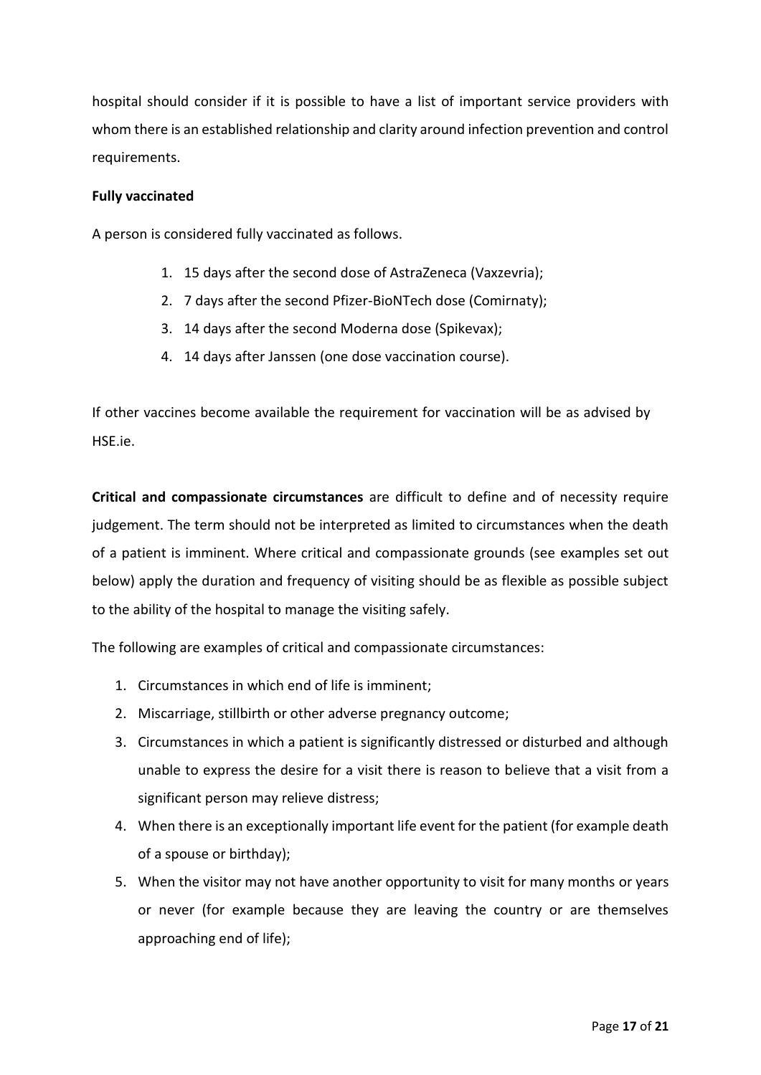hospital should consider if it is possible to have a list of important service providers with whom there is an established relationship and clarity around infection prevention and control requirements.

#### **Fully vaccinated**

A person is considered fully vaccinated as follows.

- 1. 15 days after the second dose of AstraZeneca (Vaxzevria);
- 2. 7 days after the second Pfizer-BioNTech dose (Comirnaty);
- 3. 14 days after the second Moderna dose (Spikevax);
- 4. 14 days after Janssen (one dose vaccination course).

If other vaccines become available the requirement for vaccination will be as advised by HSE.ie.

**Critical and compassionate circumstances** are difficult to define and of necessity require judgement. The term should not be interpreted as limited to circumstances when the death of a patient is imminent. Where critical and compassionate grounds (see examples set out below) apply the duration and frequency of visiting should be as flexible as possible subject to the ability of the hospital to manage the visiting safely.

The following are examples of critical and compassionate circumstances:

- 1. Circumstances in which end of life is imminent;
- 2. Miscarriage, stillbirth or other adverse pregnancy outcome;
- 3. Circumstances in which a patient is significantly distressed or disturbed and although unable to express the desire for a visit there is reason to believe that a visit from a significant person may relieve distress;
- 4. When there is an exceptionally important life event for the patient (for example death of a spouse or birthday);
- 5. When the visitor may not have another opportunity to visit for many months or years or never (for example because they are leaving the country or are themselves approaching end of life);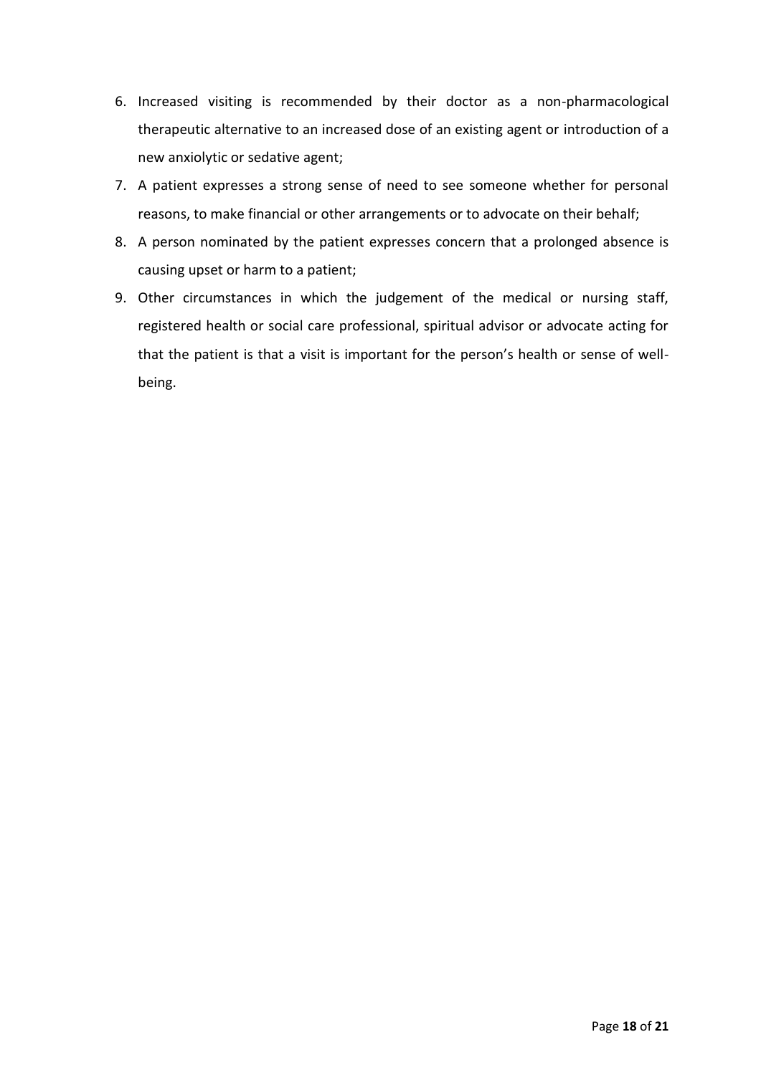- 6. Increased visiting is recommended by their doctor as a non-pharmacological therapeutic alternative to an increased dose of an existing agent or introduction of a new anxiolytic or sedative agent;
- 7. A patient expresses a strong sense of need to see someone whether for personal reasons, to make financial or other arrangements or to advocate on their behalf;
- 8. A person nominated by the patient expresses concern that a prolonged absence is causing upset or harm to a patient;
- 9. Other circumstances in which the judgement of the medical or nursing staff, registered health or social care professional, spiritual advisor or advocate acting for that the patient is that a visit is important for the person's health or sense of wellbeing.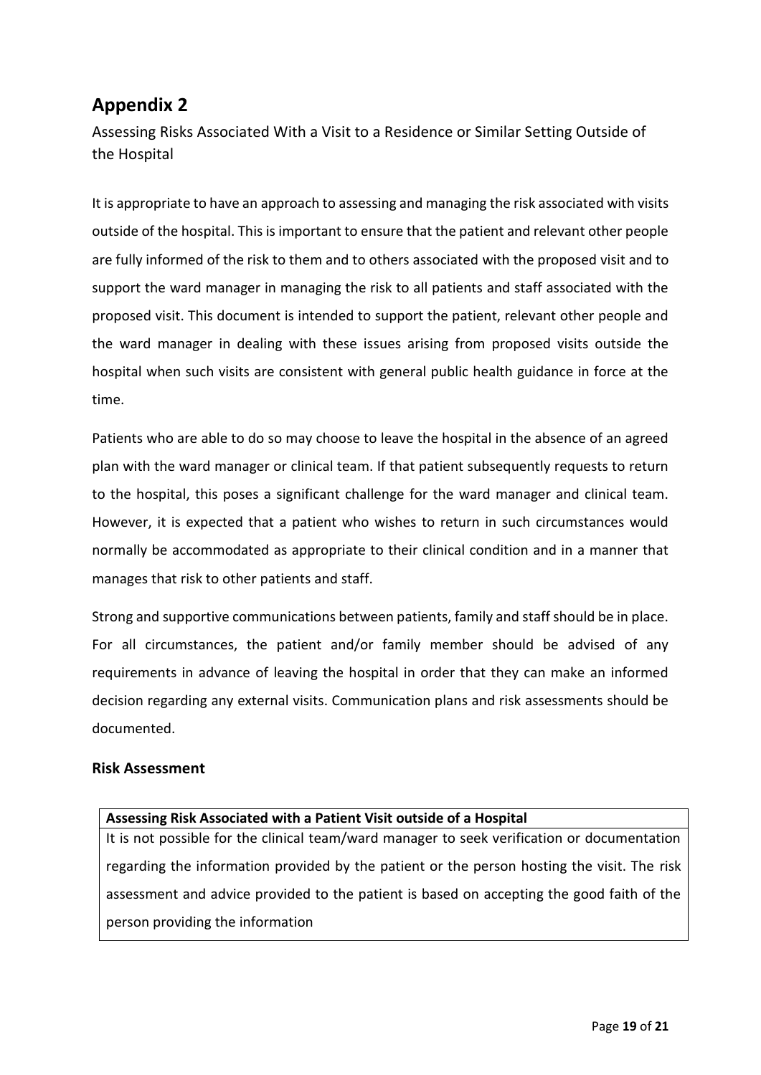# <span id="page-18-0"></span>**Appendix 2**

<span id="page-18-1"></span>Assessing Risks Associated With a Visit to a Residence or Similar Setting Outside of the Hospital

It is appropriate to have an approach to assessing and managing the risk associated with visits outside of the hospital. This is important to ensure that the patient and relevant other people are fully informed of the risk to them and to others associated with the proposed visit and to support the ward manager in managing the risk to all patients and staff associated with the proposed visit. This document is intended to support the patient, relevant other people and the ward manager in dealing with these issues arising from proposed visits outside the hospital when such visits are consistent with general public health guidance in force at the time.

Patients who are able to do so may choose to leave the hospital in the absence of an agreed plan with the ward manager or clinical team. If that patient subsequently requests to return to the hospital, this poses a significant challenge for the ward manager and clinical team. However, it is expected that a patient who wishes to return in such circumstances would normally be accommodated as appropriate to their clinical condition and in a manner that manages that risk to other patients and staff.

Strong and supportive communications between patients, family and staff should be in place. For all circumstances, the patient and/or family member should be advised of any requirements in advance of leaving the hospital in order that they can make an informed decision regarding any external visits. Communication plans and risk assessments should be documented.

#### <span id="page-18-2"></span>**Risk Assessment**

# **Assessing Risk Associated with a Patient Visit outside of a Hospital** It is not possible for the clinical team/ward manager to seek verification or documentation regarding the information provided by the patient or the person hosting the visit. The risk assessment and advice provided to the patient is based on accepting the good faith of the person providing the information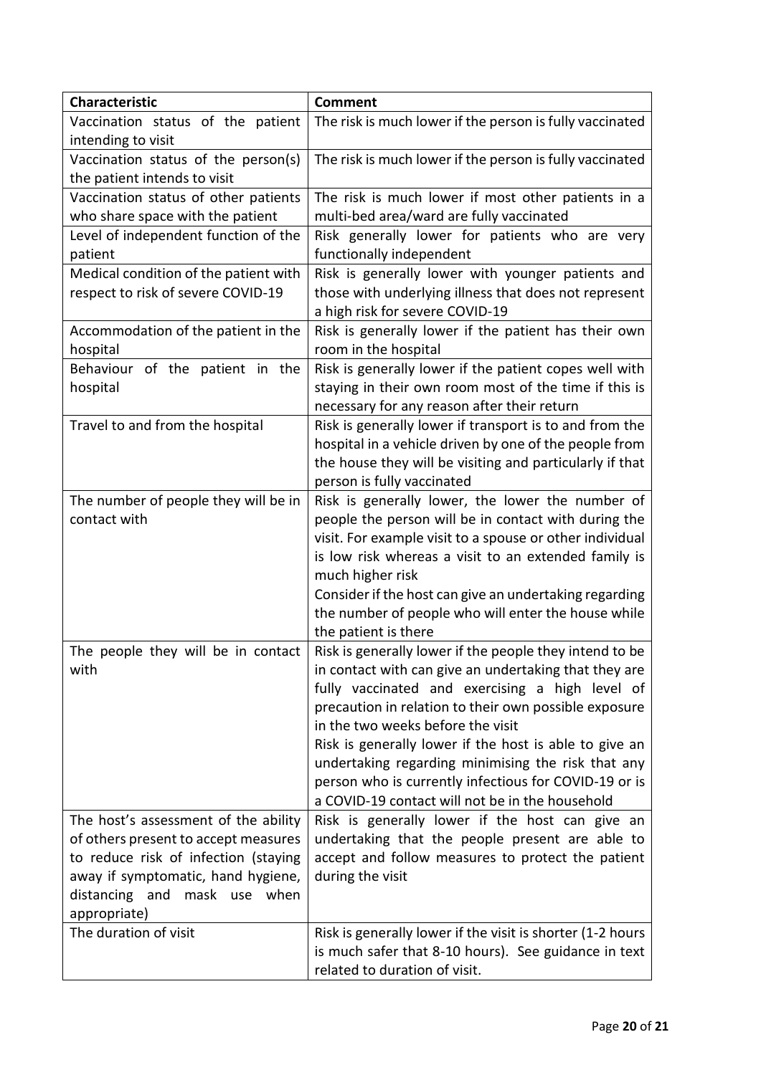| <b>Characteristic</b>                 | <b>Comment</b>                                                              |
|---------------------------------------|-----------------------------------------------------------------------------|
| Vaccination status of the patient     | The risk is much lower if the person is fully vaccinated                    |
| intending to visit                    |                                                                             |
| Vaccination status of the person(s)   | The risk is much lower if the person is fully vaccinated                    |
| the patient intends to visit          |                                                                             |
| Vaccination status of other patients  | The risk is much lower if most other patients in a                          |
| who share space with the patient      | multi-bed area/ward are fully vaccinated                                    |
| Level of independent function of the  | Risk generally lower for patients who are very                              |
| patient                               | functionally independent                                                    |
| Medical condition of the patient with | Risk is generally lower with younger patients and                           |
| respect to risk of severe COVID-19    | those with underlying illness that does not represent                       |
|                                       | a high risk for severe COVID-19                                             |
| Accommodation of the patient in the   | Risk is generally lower if the patient has their own                        |
| hospital                              | room in the hospital                                                        |
| Behaviour of the patient in the       | Risk is generally lower if the patient copes well with                      |
| hospital                              | staying in their own room most of the time if this is                       |
|                                       | necessary for any reason after their return                                 |
| Travel to and from the hospital       | Risk is generally lower if transport is to and from the                     |
|                                       | hospital in a vehicle driven by one of the people from                      |
|                                       | the house they will be visiting and particularly if that                    |
|                                       | person is fully vaccinated                                                  |
| The number of people they will be in  | Risk is generally lower, the lower the number of                            |
| contact with                          | people the person will be in contact with during the                        |
|                                       | visit. For example visit to a spouse or other individual                    |
|                                       | is low risk whereas a visit to an extended family is                        |
|                                       | much higher risk                                                            |
|                                       | Consider if the host can give an undertaking regarding                      |
|                                       | the number of people who will enter the house while<br>the patient is there |
| The people they will be in contact    | Risk is generally lower if the people they intend to be                     |
| with                                  | in contact with can give an undertaking that they are                       |
|                                       | fully vaccinated and exercising a high level of                             |
|                                       | precaution in relation to their own possible exposure                       |
|                                       | in the two weeks before the visit                                           |
|                                       | Risk is generally lower if the host is able to give an                      |
|                                       | undertaking regarding minimising the risk that any                          |
|                                       | person who is currently infectious for COVID-19 or is                       |
|                                       | a COVID-19 contact will not be in the household                             |
| The host's assessment of the ability  | Risk is generally lower if the host can give an                             |
| of others present to accept measures  | undertaking that the people present are able to                             |
| to reduce risk of infection (staying  | accept and follow measures to protect the patient                           |
| away if symptomatic, hand hygiene,    | during the visit                                                            |
| distancing and mask use when          |                                                                             |
| appropriate)                          |                                                                             |
| The duration of visit                 | Risk is generally lower if the visit is shorter (1-2 hours                  |
|                                       | is much safer that 8-10 hours). See guidance in text                        |
|                                       | related to duration of visit.                                               |